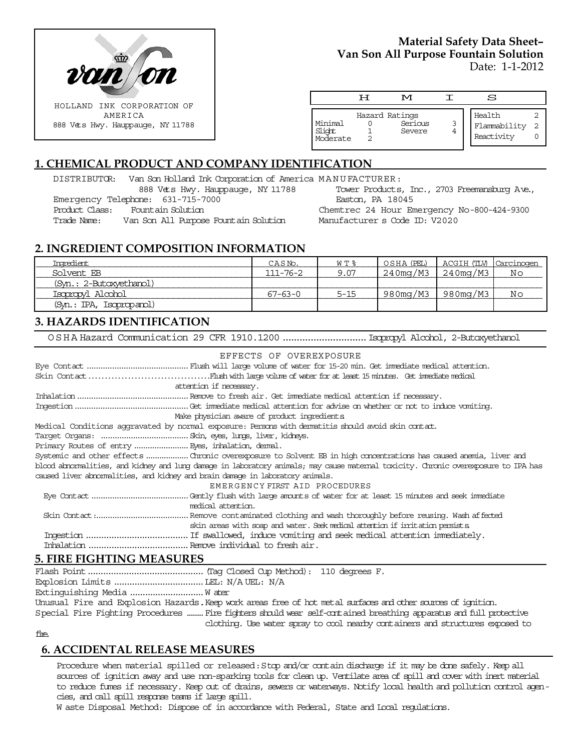

### **Material Safety Data Sheet– Van Son All Purpose Fountain Solution** Date: 1-1-2012

|                               | ᄑ | M                                   |   | S                                    |  |
|-------------------------------|---|-------------------------------------|---|--------------------------------------|--|
| Minimal<br>Slight<br>Moderate |   | Hazard Ratings<br>Serious<br>Severe | 3 | Health<br>Flammability<br>Reactivity |  |

# **1. CHEMICAL PRODUCT AND COMPANY IDENTIFICATION**

DISTRIBUTOR: Van Son Holland Ink Corporation of America MANUFACTURER:

888 Vets Hwy. Hauppauge, NY 11788 Emergency Telephone: 631-715-7000

Product Class: Fountain Solution

Trade Name: Van Son All Purpose Fountain Solution

Tower Products, Inc., 2703 Freemansburg Ave., Easton, PA 18045

Chemtrec 24 Hour Emergency No-800-424-9300 Manufacturer s Code ID: V2020

## **2. INGREDIENT COMPOSITION INFORMATION**

| Ingredient.              | CASN <sub>o</sub> . | $W T$ $\approx$ | OSHA (PEL) | ACGIH (TLV) Carcinogen |    |
|--------------------------|---------------------|-----------------|------------|------------------------|----|
| Solvent FB               | $111 - 76 - 2$      | 9.07            | 240mg/M3   | $\mid$ 240mg/M3        | Νo |
| (Syn.: 2-Butoxyethanol)  |                     |                 |            |                        |    |
| Isopropyl Alcohol        | 67-63-0             | $5 - 15$        | 980mq/M3   | 980mg/M3               | Νo |
| (Syn.: IPA, Isopropanol) |                     |                 |            |                        |    |

## **3. HAZARDS IDENTIFICATION**

OSHA Hazard Communication 29 CFR 1910.1200..............................Isopropyl Alcohol, 2-Butoxyethanol

| EFFECTS OF OVEREXPOSURE                                                                                                            |  |  |  |  |
|------------------------------------------------------------------------------------------------------------------------------------|--|--|--|--|
|                                                                                                                                    |  |  |  |  |
|                                                                                                                                    |  |  |  |  |
| attention if necessary.                                                                                                            |  |  |  |  |
|                                                                                                                                    |  |  |  |  |
|                                                                                                                                    |  |  |  |  |
| Make physician aware of product ingredients                                                                                        |  |  |  |  |
| Medical Conditions aggravated by normal exposure: Persons with dematitis should avoid skin contat.                                 |  |  |  |  |
|                                                                                                                                    |  |  |  |  |
| Primary Routes of entry  Eyes, inhalation, demal.                                                                                  |  |  |  |  |
|                                                                                                                                    |  |  |  |  |
| blood abnomalities, and kidney and lung damage in laboratory animals; may cause maternal toxicity. Chronic overexposure to IPA has |  |  |  |  |
| caused liver abnormalities, and kidney and brain damage in laboratory animals.                                                     |  |  |  |  |
| EMERGENCY FIRST AID PROCEDURES                                                                                                     |  |  |  |  |
|                                                                                                                                    |  |  |  |  |
| medical attention.                                                                                                                 |  |  |  |  |
|                                                                                                                                    |  |  |  |  |
| skin areas with soap and water. Seek medical attention if inritation persists                                                      |  |  |  |  |
|                                                                                                                                    |  |  |  |  |
|                                                                                                                                    |  |  |  |  |

## **5. FIRE FIGHTING MEASURES**

Flash Point.............................................(Tag Closed Cup Method): 110 degrees F. Explosion Limits ...................................LEL: N/A UEL: N/A Extinguishing Media .............................W ater Unusual Fire and Explosion Hazards.Keep work areas free of hot metal surfaces and other sources of ignition. Special Fire Fighting Procedures ........Fire fighters should wear self-contained breathing apparatus and full protective clothing. Use water spray to cool nearby containers and structures exposed to

#### fire.

### **6. ACCIDENTAL RELEASE MEASURES**

Procedure when material spilled or released: Stop and/or contain discharge if it may be done safely. Keep all sources of ignition away and use non-sparking tools for clean up. Ventilate area of spill and cover with inert material to reduce fumes if necessary. Keep out of drains, sewers or waterways. Notify local health and pollution control agencies, and call spill response teams if large spill.

W aste Disposal Method: Dispose of in accordance with Federal, State and Local regulations.